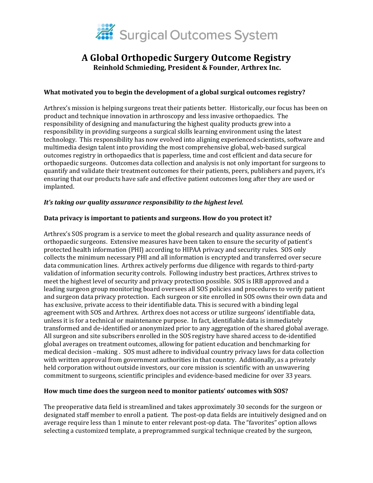

# **A Global Orthopedic Surgery Outcome Registry Reinhold Schmieding, President & Founder, Arthrex Inc.**

# **What motivated you to begin the development of a global surgical outcomes registry?**

Arthrex's mission is helping surgeons treat their patients better. Historically, our focus has been on product and technique innovation in arthroscopy and less invasive orthopaedics. The responsibility of designing and manufacturing the highest quality products grew into a responsibility in providing surgeons a surgical skills learning environment using the latest technology. This responsibility has now evolved into aligning experienced scientists, software and multimedia design talent into providing the most comprehensive global, web-based surgical outcomes registry in orthopaedics that is paperless, time and cost efficient and data secure for orthopaedic surgeons. Outcomes data collection and analysis is not only important for surgeons to quantify and validate their treatment outcomes for their patients, peers, publishers and payers, it's ensuring that our products have safe and effective patient outcomes long after they are used or implanted.

#### *It's taking our quality assurance responsibility to the highest level.*

#### **Data privacy is important to patients and surgeons. How do you protect it?**

Arthrex's SOS program is a service to meet the global research and quality assurance needs of orthopaedic surgeons. Extensive measures have been taken to ensure the security of patient's protected health information (PHI) according to HIPAA privacy and security rules. SOS only collects the minimum necessary PHI and all information is encrypted and transferred over secure data communication lines. Arthrex actively performs due diligence with regards to third-party validation of information security controls. Following industry best practices, Arthrex strives to meet the highest level of security and privacy protection possible. SOS is IRB approved and a leading surgeon group monitoring board oversees all SOS policies and procedures to verify patient and surgeon data privacy protection. Each surgeon or site enrolled in SOS owns their own data and has exclusive, private access to their identifiable data. This is secured with a binding legal agreement with SOS and Arthrex. Arthrex does not access or utilize surgeons' identifiable data, unless it is for a technical or maintenance purpose. In fact, identifiable data is immediately transformed and de-identified or anonymized prior to any aggregation of the shared global average. All surgeon and site subscribers enrolled in the SOS registry have shared access to de-identified global averages on treatment outcomes, allowing for patient education and benchmarking for medical decision –making . SOS must adhere to individual country privacy laws for data collection with written approval from government authorities in that country. Additionally, as a privately held corporation without outside investors, our core mission is scientific with an unwavering commitment to surgeons, scientific principles and evidence-based medicine for over 33 years.

#### **How much time does the surgeon need to monitor patients' outcomes with SOS?**

The preoperative data field is streamlined and takes approximately 30 seconds for the surgeon or designated staff member to enroll a patient. The post-op data fields are intuitively designed and on average require less than 1 minute to enter relevant post-op data. The "favorites" option allows selecting a customized template, a preprogrammed surgical technique created by the surgeon,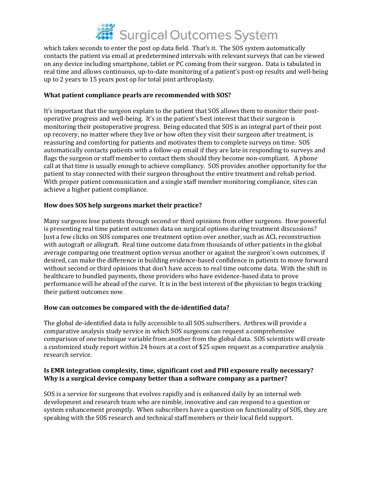

which takes seconds to enter the post op data field. That's it. The SOS system automatically contacts the patient via email at predetermined intervals with relevant surveys that can be viewed on any device including smartphone, tablet or PC coming from their surgeon. Data is tabulated in real time and allows continuous, up-to-date monitoring of a patient's post-op results and well-being up to 2 years to 15 years post op for total joint arthroplasty.

#### **What patient compliance pearls are recommended with SOS?**

It's important that the surgeon explain to the patient that SOS allows them to monitor their postoperative progress and well-being. It's in the patient's best interest that their surgeon is monitoring their postoperative progress. Being educated that SOS is an integral part of their post op recovery, no matter where they live or how often they visit their surgeon after treatment, is reassuring and comforting for patients and motivates them to complete surveys on time. SOS automatically contacts patients with a follow-up email if they are late in responding to surveys and flags the surgeon or staff member to contact them should they become non-compliant. A phone call at that time is usually enough to achieve compliancy. SOS provides another opportunity for the patient to stay connected with their surgeon throughout the entire treatment and rehab period. With proper patient communication and a single staff member monitoring compliance, sites can achieve a higher patient compliance.

# **How does SOS help surgeons market their practice?**

Many surgeons lose patients through second or third opinions from other surgeons. How powerful is presenting real time patient outcomes data on surgical options during treatment discussions? Just a few clicks on SOS compares one treatment option over another, such as ACL reconstruction with autograft or allograft. Real time outcome data from thousands of other patients in the global average comparing one treatment option versus another or against the surgeon's own outcomes, if desired, can make the difference in building evidence-based confidence in patients to move forward without second or third opinions that don't have access to real time outcome data. With the shift in healthcare to bundled payments, those providers who have evidence-based data to prove performance will be ahead of the curve. It is in the best interest of the physician to begin tracking their patient outcomes now.

# **How can outcomes be compared with the de-identified data?**

The global de-identified data is fully accessible to all SOS subscribers. Arthrex will provide a comparative analysis study service in which SOS surgeons can request a comprehensive comparison of one technique variable from another from the global data. SOS scientists will create a customized study report within 24 hours at a cost of \$25 upon request as a comparative analysis research service.

#### **Is EMR integration complexity, time, significant cost and PHI exposure really necessary? Why is a surgical device company better than a software company as a partner?**

SOS is a service for surgeons that evolves rapidly and is enhanced daily by an internal web development and research team who are nimble, innovative and can respond to a question or system enhancement promptly. When subscribers have a question on functionality of SOS, they are speaking with the SOS research and technical staff members or their local field support.